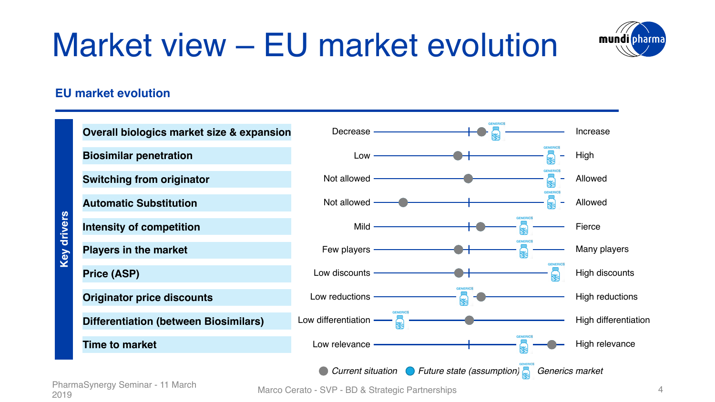# Market view – EU market evolution



### **EU market evolution**

| <b>Key drivers</b> | Overall biologics market size & expansion                                 | Decrease -              |                         | <b>GENERICS</b> |                 | Increase             |  |
|--------------------|---------------------------------------------------------------------------|-------------------------|-------------------------|-----------------|-----------------|----------------------|--|
|                    | <b>Biosimilar penetration</b>                                             | $Low$ —                 |                         |                 |                 | High                 |  |
|                    | <b>Switching from originator</b>                                          | Not allowed -           |                         |                 |                 | Allowed              |  |
|                    | <b>Automatic Substitution</b>                                             | Not allowed ——          |                         |                 |                 | Allowed              |  |
|                    | <b>Intensity of competition</b>                                           | Mild $-$                |                         |                 | <b>GENERICS</b> | Fierce               |  |
|                    | <b>Players in the market</b>                                              | Few players -           |                         |                 | <b>GENERICS</b> | Many players         |  |
|                    | <b>Price (ASP)</b>                                                        | Low discounts -         |                         |                 | <b>GENERICS</b> | High discounts       |  |
|                    | <b>Originator price discounts</b>                                         | Low reductions -        |                         | 58              |                 | High reductions      |  |
|                    | <b>Differentiation (between Biosimilars)</b>                              | Low differentiation $-$ | $-\frac{1}{\infty}$ $-$ |                 |                 | High differentiation |  |
|                    | <b>Time to market</b>                                                     | Low relevance -         |                         |                 |                 | High relevance       |  |
|                    | Current situation $\bigcirc$ Future state (assumption)<br>Generics market |                         |                         |                 |                 |                      |  |

PharmaSynergy Seminar - 11 March 2019

Marco Cerato - SVP - BD & Strategic Partnerships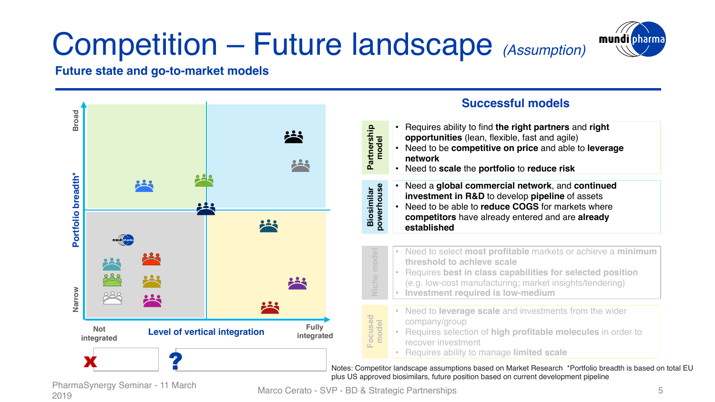## Competition – Future landscape *(Assumption)*



### **Future state and go-to-market models**



PharmaSynergy Seminar - 11 March 2019

Marco Cerato - SVP - BD & Strategic Partnerships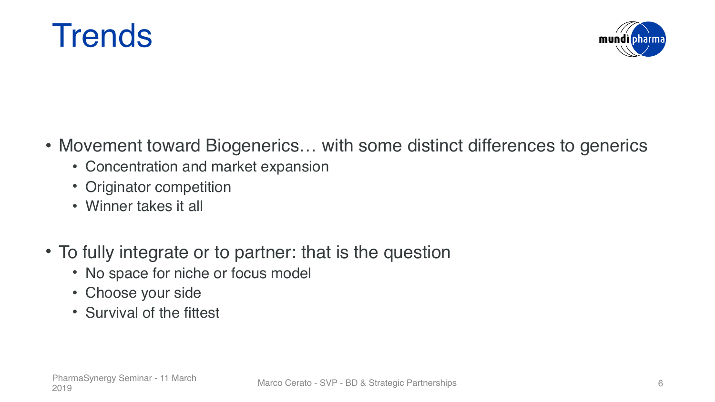



- Movement toward Biogenerics... with some distinct differences to generics
	- Concentration and market expansion
	- Originator competition
	- Winner takes it all
- To fully integrate or to partner: that is the question
	- No space for niche or focus model
	- Choose your side
	- Survival of the fittest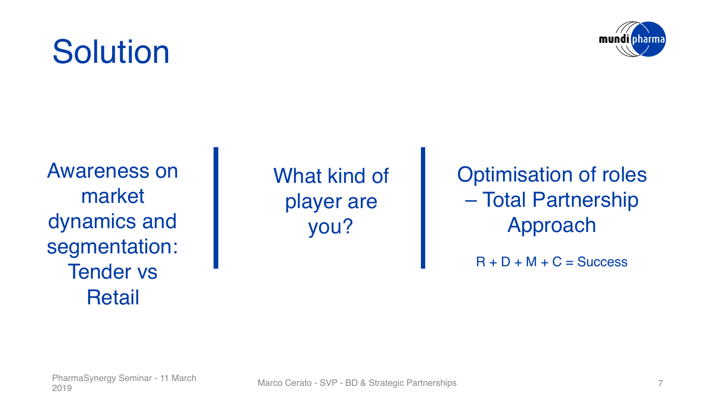### Awareness on market

dynamics and segmentation: Tender vs Retail

What kind of player are you?

Optimisation of roles – Total Partnership Approach

 $R + D + M + C =$  Success



## **Solution**